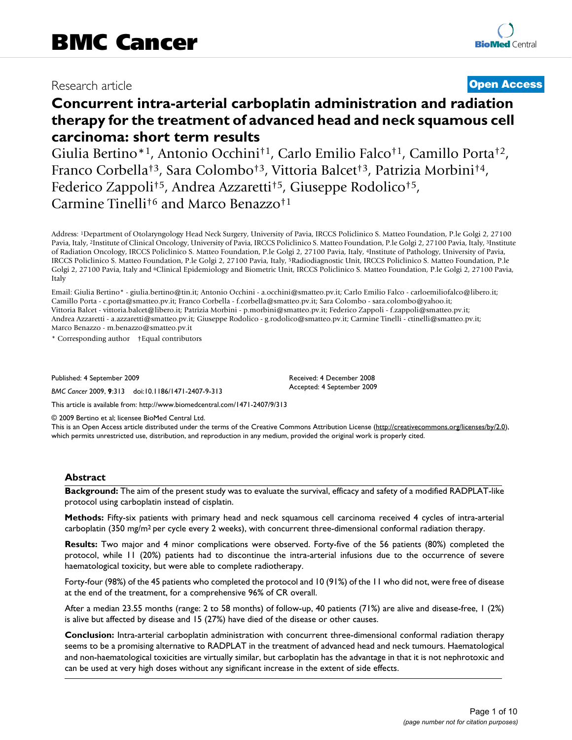## Research article **[Open Access](http://www.biomedcentral.com/info/about/charter/)**

# **Concurrent intra-arterial carboplatin administration and radiation therapy for the treatment of advanced head and neck squamous cell carcinoma: short term results**

Giulia Bertino\*1, Antonio Occhini†1, Carlo Emilio Falco†1, Camillo Porta†2, Franco Corbella†3, Sara Colombo†3, Vittoria Balcet†3, Patrizia Morbini†4, Federico Zappoli†5, Andrea Azzaretti†5, Giuseppe Rodolico†5, Carmine Tinelli†6 and Marco Benazzo†1

Address: 1Department of Otolaryngology Head Neck Surgery, University of Pavia, IRCCS Policlinico S. Matteo Foundation, P.le Golgi 2, 27100 Pavia, Italy, <sup>2</sup>Institute of Clinical Oncology, University of Pavia, IRCCS Policlinico S. Matteo Foundation, P.le Golgi 2, 27100 Pavia, Italy, <sup>3</sup>Institute of Radiation Oncology, IRCCS Policlinico S. Matteo Foundation, P.le Golgi 2, 27100 Pavia, Italy, 4Institute of Pathology, University of Pavia, IRCCS Policlinico S. Matteo Foundation, P.le Golgi 2, 27100 Pavia, Italy, 5Radiodiagnostic Unit, IRCCS Policlinico S. Matteo Foundation, P.le Golgi 2, 27100 Pavia, Italy and <sup>6</sup>Clinical Epidemiology and Biometric Unit, IRCCS Policlinico S. Matteo Foundation, P.le Golgi 2, 27100 Pavia, Italy

Email: Giulia Bertino\* - giulia.bertino@tin.it; Antonio Occhini - a.occhini@smatteo.pv.it; Carlo Emilio Falco - carloemiliofalco@libero.it; Camillo Porta - c.porta@smatteo.pv.it; Franco Corbella - f.corbella@smatteo.pv.it; Sara Colombo - sara.colombo@yahoo.it; Vittoria Balcet - vittoria.balcet@libero.it; Patrizia Morbini - p.morbini@smatteo.pv.it; Federico Zappoli - f.zappoli@smatteo.pv.it; Andrea Azzaretti - a.azzaretti@smatteo.pv.it; Giuseppe Rodolico - g.rodolico@smatteo.pv.it; Carmine Tinelli - ctinelli@smatteo.pv.it; Marco Benazzo - m.benazzo@smatteo.pv.it

\* Corresponding author †Equal contributors

Published: 4 September 2009

*BMC Cancer* 2009, **9**:313 doi:10.1186/1471-2407-9-313

[This article is available from: http://www.biomedcentral.com/1471-2407/9/313](http://www.biomedcentral.com/1471-2407/9/313)

© 2009 Bertino et al; licensee BioMed Central Ltd.

This is an Open Access article distributed under the terms of the Creative Commons Attribution License [\(http://creativecommons.org/licenses/by/2.0\)](http://creativecommons.org/licenses/by/2.0), which permits unrestricted use, distribution, and reproduction in any medium, provided the original work is properly cited.

Received: 4 December 2008 Accepted: 4 September 2009

#### **Abstract**

**Background:** The aim of the present study was to evaluate the survival, efficacy and safety of a modified RADPLAT-like protocol using carboplatin instead of cisplatin.

**Methods:** Fifty-six patients with primary head and neck squamous cell carcinoma received 4 cycles of intra-arterial carboplatin (350 mg/m<sup>2</sup> per cycle every 2 weeks), with concurrent three-dimensional conformal radiation therapy.

**Results:** Two major and 4 minor complications were observed. Forty-five of the 56 patients (80%) completed the protocol, while 11 (20%) patients had to discontinue the intra-arterial infusions due to the occurrence of severe haematological toxicity, but were able to complete radiotherapy.

Forty-four (98%) of the 45 patients who completed the protocol and 10 (91%) of the 11 who did not, were free of disease at the end of the treatment, for a comprehensive 96% of CR overall.

After a median 23.55 months (range: 2 to 58 months) of follow-up, 40 patients (71%) are alive and disease-free, 1 (2%) is alive but affected by disease and 15 (27%) have died of the disease or other causes.

**Conclusion:** Intra-arterial carboplatin administration with concurrent three-dimensional conformal radiation therapy seems to be a promising alternative to RADPLAT in the treatment of advanced head and neck tumours. Haematological and non-haematological toxicities are virtually similar, but carboplatin has the advantage in that it is not nephrotoxic and can be used at very high doses without any significant increase in the extent of side effects.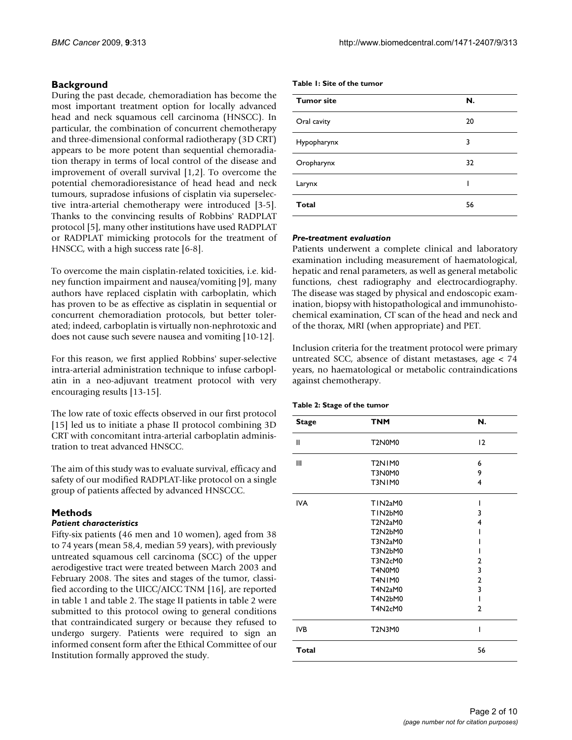#### **Background**

During the past decade, chemoradiation has become the most important treatment option for locally advanced head and neck squamous cell carcinoma (HNSCC). In particular, the combination of concurrent chemotherapy and three-dimensional conformal radiotherapy (3D CRT) appears to be more potent than sequential chemoradiation therapy in terms of local control of the disease and improvement of overall survival [1,2]. To overcome the potential chemoradioresistance of head head and neck tumours, supradose infusions of cisplatin via superselective intra-arterial chemotherapy were introduced [3-5]. Thanks to the convincing results of Robbins' RADPLAT protocol [5], many other institutions have used RADPLAT or RADPLAT mimicking protocols for the treatment of HNSCC, with a high success rate [6-8].

To overcome the main cisplatin-related toxicities, i.e. kidney function impairment and nausea/vomiting [9], many authors have replaced cisplatin with carboplatin, which has proven to be as effective as cisplatin in sequential or concurrent chemoradiation protocols, but better tolerated; indeed, carboplatin is virtually non-nephrotoxic and does not cause such severe nausea and vomiting [10-12].

For this reason, we first applied Robbins' super-selective intra-arterial administration technique to infuse carboplatin in a neo-adjuvant treatment protocol with very encouraging results [13-15].

The low rate of toxic effects observed in our first protocol [15] led us to initiate a phase II protocol combining 3D CRT with concomitant intra-arterial carboplatin administration to treat advanced HNSCC.

The aim of this study was to evaluate survival, efficacy and safety of our modified RADPLAT-like protocol on a single group of patients affected by advanced HNSCCC.

#### **Methods**

#### *Patient characteristics*

Fifty-six patients (46 men and 10 women), aged from 38 to 74 years (mean 58,4, median 59 years), with previously untreated squamous cell carcinoma (SCC) of the upper aerodigestive tract were treated between March 2003 and February 2008. The sites and stages of the tumor, classified according to the UICC/AICC TNM [16], are reported in table 1 and table 2. The stage II patients in table 2 were submitted to this protocol owing to general conditions that contraindicated surgery or because they refused to undergo surgery. Patients were required to sign an informed consent form after the Ethical Committee of our Institution formally approved the study.

| <b>Tumor site</b> | N. |
|-------------------|----|
| Oral cavity       | 20 |
| Hypopharynx       | 3  |
| Oropharynx        | 32 |
| Larynx            |    |
| <b>Total</b>      | 56 |

#### *Pre-treatment evaluation*

Patients underwent a complete clinical and laboratory examination including measurement of haematological, hepatic and renal parameters, as well as general metabolic functions, chest radiography and electrocardiography. The disease was staged by physical and endoscopic examination, biopsy with histopathological and immunohistochemical examination, CT scan of the head and neck and of the thorax, MRI (when appropriate) and PET.

Inclusion criteria for the treatment protocol were primary untreated SCC, absence of distant metastases, age < 74 years, no haematological or metabolic contraindications against chemotherapy.

| Table 2: Stage of the tumor |  |  |  |
|-----------------------------|--|--|--|
|-----------------------------|--|--|--|

| <b>Stage</b> | <b>TNM</b>                                    | N.             |  |
|--------------|-----------------------------------------------|----------------|--|
| Ш            | T2N0M0                                        | 2              |  |
| Ш            | T2N1M0                                        | 6              |  |
|              | T3N0M0                                        | 9              |  |
|              | T3N1M0                                        | 4              |  |
| IVA          | TIN <sub>2a</sub> M <sub>0</sub>              | I              |  |
|              | TIN <sub>2</sub> bM <sub>0</sub>              | 3              |  |
|              | T <sub>2</sub> N <sub>2a</sub> M <sub>0</sub> | 4              |  |
|              | T2N2bM0                                       | ı              |  |
|              | T3N2aM0                                       |                |  |
|              | T3N2bM0                                       | ı              |  |
|              | T3N2cM0                                       | 2              |  |
|              | T4N0M0                                        | 3              |  |
|              | T4NIM0                                        | $\overline{2}$ |  |
|              | T4N2aM0                                       | 3              |  |
|              | T4N2bM0                                       | ı              |  |
|              | T4N2cM0                                       | $\overline{2}$ |  |
| <b>IVB</b>   | T2N3M0                                        | ı              |  |
| <b>Total</b> |                                               | 56             |  |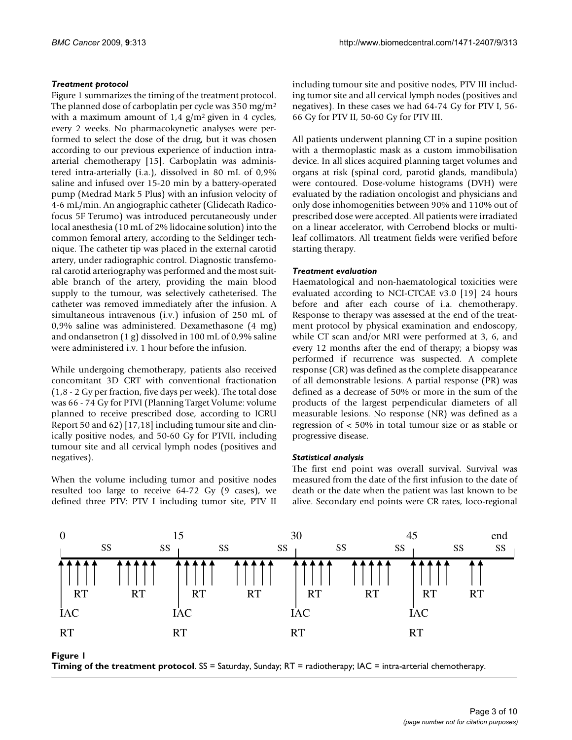#### *Treatment protocol*

Figure 1 summarizes the timing of the treatment protocol. The planned dose of carboplatin per cycle was 350 mg/m2 with a maximum amount of  $1.4$  g/m<sup>2</sup> given in 4 cycles, every 2 weeks. No pharmacokynetic analyses were performed to select the dose of the drug, but it was chosen according to our previous experience of induction intraarterial chemotherapy [15]. Carboplatin was administered intra-arterially (i.a.), dissolved in 80 mL of 0,9% saline and infused over 15-20 min by a battery-operated pump (Medrad Mark 5 Plus) with an infusion velocity of 4-6 mL/min. An angiographic catheter (Glidecath Radicofocus 5F Terumo) was introduced percutaneously under local anesthesia (10 mL of 2% lidocaine solution) into the common femoral artery, according to the Seldinger technique. The catheter tip was placed in the external carotid artery, under radiographic control. Diagnostic transfemoral carotid arteriography was performed and the most suitable branch of the artery, providing the main blood supply to the tumour, was selectively catheterised. The catheter was removed immediately after the infusion. A simultaneous intravenous (i.v.) infusion of 250 mL of 0,9% saline was administered. Dexamethasone (4 mg) and ondansetron (1 g) dissolved in 100 mL of 0,9% saline were administered i.v. 1 hour before the infusion.

While undergoing chemotherapy, patients also received concomitant 3D CRT with conventional fractionation (1,8 - 2 Gy per fraction, five days per week). The total dose was 66 - 74 Gy for PTVI (Planning Target Volume: volume planned to receive prescribed dose, according to ICRU Report 50 and 62) [17,18] including tumour site and clinically positive nodes, and 50-60 Gy for PTVII, including tumour site and all cervical lymph nodes (positives and negatives).

When the volume including tumor and positive nodes resulted too large to receive 64-72 Gy (9 cases), we defined three PTV: PTV I including tumor site, PTV II

including tumour site and positive nodes, PTV III including tumor site and all cervical lymph nodes (positives and negatives). In these cases we had 64-74 Gy for PTV I, 56- 66 Gy for PTV II, 50-60 Gy for PTV III.

All patients underwent planning CT in a supine position with a thermoplastic mask as a custom immobilisation device. In all slices acquired planning target volumes and organs at risk (spinal cord, parotid glands, mandibula) were contoured. Dose-volume histograms (DVH) were evaluated by the radiation oncologist and physicians and only dose inhomogenities between 90% and 110% out of prescribed dose were accepted. All patients were irradiated on a linear accelerator, with Cerrobend blocks or multileaf collimators. All treatment fields were verified before starting therapy.

#### *Treatment evaluation*

Haematological and non-haematological toxicities were evaluated according to NCI-CTCAE v3.0 [19] 24 hours before and after each course of i.a. chemotherapy. Response to therapy was assessed at the end of the treatment protocol by physical examination and endoscopy, while CT scan and/or MRI were performed at 3, 6, and every 12 months after the end of therapy; a biopsy was performed if recurrence was suspected. A complete response (CR) was defined as the complete disappearance of all demonstrable lesions. A partial response (PR) was defined as a decrease of 50% or more in the sum of the products of the largest perpendicular diameters of all measurable lesions. No response (NR) was defined as a regression of < 50% in total tumour size or as stable or progressive disease.

#### *Statistical analysis*

The first end point was overall survival. Survival was measured from the date of the first infusion to the date of death or the date when the patient was last known to be alive. Secondary end points were CR rates, loco-regional



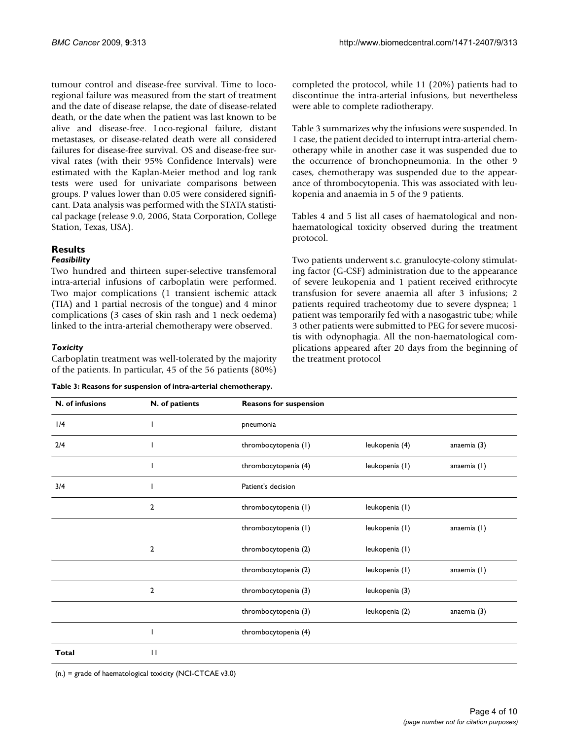tumour control and disease-free survival. Time to locoregional failure was measured from the start of treatment and the date of disease relapse, the date of disease-related death, or the date when the patient was last known to be alive and disease-free. Loco-regional failure, distant metastases, or disease-related death were all considered failures for disease-free survival. OS and disease-free survival rates (with their 95% Confidence Intervals) were estimated with the Kaplan-Meier method and log rank tests were used for univariate comparisons between groups. P values lower than 0.05 were considered significant. Data analysis was performed with the STATA statistical package (release 9.0, 2006, Stata Corporation, College Station, Texas, USA).

## **Results**

#### *Feasibility*

Two hundred and thirteen super-selective transfemoral intra-arterial infusions of carboplatin were performed. Two major complications (1 transient ischemic attack (TIA) and 1 partial necrosis of the tongue) and 4 minor complications (3 cases of skin rash and 1 neck oedema) linked to the intra-arterial chemotherapy were observed.

#### *Toxicity*

Carboplatin treatment was well-tolerated by the majority of the patients. In particular, 45 of the 56 patients (80%)

|  | Table 3: Reasons for suspension of intra-arterial chemotherapy. |
|--|-----------------------------------------------------------------|
|--|-----------------------------------------------------------------|

completed the protocol, while 11 (20%) patients had to discontinue the intra-arterial infusions, but nevertheless were able to complete radiotherapy.

Table 3 summarizes why the infusions were suspended. In 1 case, the patient decided to interrupt intra-arterial chemotherapy while in another case it was suspended due to the occurrence of bronchopneumonia. In the other 9 cases, chemotherapy was suspended due to the appearance of thrombocytopenia. This was associated with leukopenia and anaemia in 5 of the 9 patients.

Tables 4 and 5 list all cases of haematological and nonhaematological toxicity observed during the treatment protocol.

Two patients underwent s.c. granulocyte-colony stimulating factor (G-CSF) administration due to the appearance of severe leukopenia and 1 patient received erithrocyte transfusion for severe anaemia all after 3 infusions; 2 patients required tracheotomy due to severe dyspnea; 1 patient was temporarily fed with a nasogastric tube; while 3 other patients were submitted to PEG for severe mucositis with odynophagia. All the non-haematological complications appeared after 20 days from the beginning of the treatment protocol

| N. of infusions | N. of patients | <b>Reasons for suspension</b> |                |             |
|-----------------|----------------|-------------------------------|----------------|-------------|
| 1/4             |                | pneumonia                     |                |             |
| 2/4             |                | thrombocytopenia (1)          | leukopenia (4) | anaemia (3) |
|                 |                | thrombocytopenia (4)          | leukopenia (1) | anaemia (1) |
| 3/4             |                | Patient's decision            |                |             |
|                 | $\overline{2}$ | thrombocytopenia (1)          | leukopenia (1) |             |
|                 |                | thrombocytopenia (1)          | leukopenia (1) | anaemia (1) |
|                 | $\overline{2}$ | thrombocytopenia (2)          | leukopenia (1) |             |
|                 |                | thrombocytopenia (2)          | leukopenia (1) | anaemia (1) |
|                 | $\overline{2}$ | thrombocytopenia (3)          | leukopenia (3) |             |
|                 |                | thrombocytopenia (3)          | leukopenia (2) | anaemia (3) |
|                 |                | thrombocytopenia (4)          |                |             |
| <b>Total</b>    | $\mathbf{H}$   |                               |                |             |

(n.) = grade of haematological toxicity (NCI-CTCAE v3.0)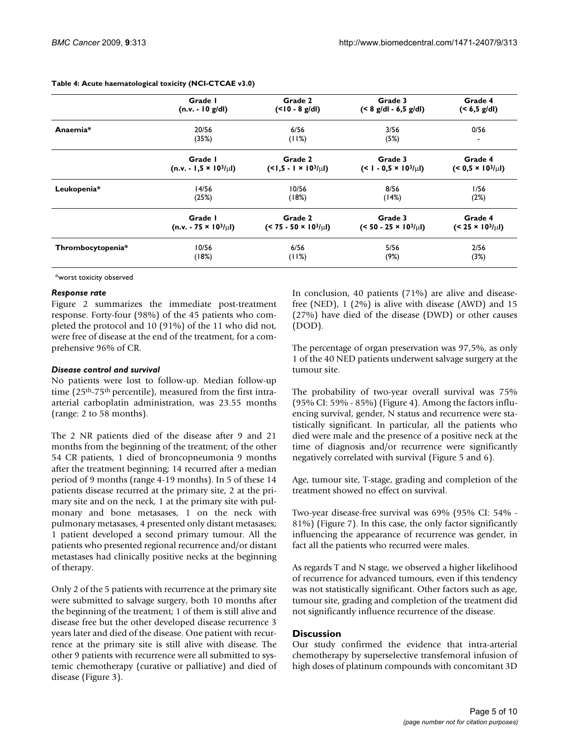**Table 4: Acute haematological toxicity (NCI-CTCAE v3.0)**

|                   | Grade I                          | Grade 2                                           | Grade 3                           | Grade 4                         |
|-------------------|----------------------------------|---------------------------------------------------|-----------------------------------|---------------------------------|
|                   | $(n.v. - 10 g/d)$                | $($ < $10 - 8$ g/dl)                              | $(< 8$ g/dl - 6,5 g/dl)           | $(< 6.5$ g/dl)                  |
| Anaemia*          | 20/56                            | 6/56                                              | 3/56                              | 0/56                            |
|                   | (35%)                            | (11%)                                             | (5%)                              | $\overline{\phantom{a}}$        |
|                   | Grade I                          | Grade 2                                           | Grade 3                           | Grade 4                         |
|                   | $(n.v. - 1.5 \times 10^{3}/\mu)$ | $(1.5 - 1 \times 10^{3}/\mu)$                     | $(< I - 0.5 \times 10^{3}/\mu$ l) | $(< 0.5 \times 10^{3}/\mu$ )    |
| Leukopenia*       | 14/56                            | 10/56                                             | 8/56                              | 1/56                            |
|                   | (25%)                            | (18%)                                             | (14%)                             | (2%)                            |
|                   | Grade I                          | Grade 2                                           | Grade 3                           | Grade 4                         |
|                   | $(n.v. - 75 \times 10^{3}/\mu)$  | $($ < 75 - 50 $\times$ 10 <sup>3</sup> / $\mu$ I) | $(50 - 25 \times 10^{3}/\mu)$     | $(< 25 \times 10^{3}/\text{m})$ |
| Thrombocytopenia* | 10/56                            | 6/56                                              | 5/56                              | 2/56                            |
|                   | (18%)                            | (11%)                                             | (9%)                              | (3%)                            |

\*worst toxicity observed

#### *Response rate*

Figure 2 summarizes the immediate post-treatment response. Forty-four (98%) of the 45 patients who completed the protocol and 10 (91%) of the 11 who did not, were free of disease at the end of the treatment, for a comprehensive 96% of CR.

#### *Disease control and survival*

No patients were lost to follow-up. Median follow-up time (25<sup>th</sup>-75<sup>th</sup> percentile), measured from the first intraarterial carboplatin administration, was 23.55 months (range: 2 to 58 months).

The 2 NR patients died of the disease after 9 and 21 months from the beginning of the treatment; of the other 54 CR patients, 1 died of broncopneumonia 9 months after the treatment beginning; 14 recurred after a median period of 9 months (range 4-19 months). In 5 of these 14 patients disease recurred at the primary site, 2 at the primary site and on the neck, 1 at the primary site with pulmonary and bone metasases, 1 on the neck with pulmonary metasases, 4 presented only distant metasases; 1 patient developed a second primary tumour. All the patients who presented regional recurrence and/or distant metastases had clinically positive necks at the beginning of therapy.

Only 2 of the 5 patients with recurrence at the primary site were submitted to salvage surgery, both 10 months after the beginning of the treatment; 1 of them is still alive and disease free but the other developed disease recurrence 3 years later and died of the disease. One patient with recurrence at the primary site is still alive with disease. The other 9 patients with recurrence were all submitted to systemic chemotherapy (curative or palliative) and died of disease (Figure 3).

In conclusion, 40 patients (71%) are alive and diseasefree (NED), 1 (2%) is alive with disease (AWD) and 15 (27%) have died of the disease (DWD) or other causes (DOD).

The percentage of organ preservation was 97,5%, as only 1 of the 40 NED patients underwent salvage surgery at the tumour site.

The probability of two-year overall survival was 75% (95% CI: 59% - 85%) (Figure 4). Among the factors influencing survival, gender, N status and recurrence were statistically significant. In particular, all the patients who died were male and the presence of a positive neck at the time of diagnosis and/or recurrence were significantly negatively correlated with survival (Figure 5 and 6).

Age, tumour site, T-stage, grading and completion of the treatment showed no effect on survival.

Two-year disease-free survival was 69% (95% CI: 54% - 81%) (Figure 7). In this case, the only factor significantly influencing the appearance of recurrence was gender, in fact all the patients who recurred were males.

As regards T and N stage, we observed a higher likelihood of recurrence for advanced tumours, even if this tendency was not statistically significant. Other factors such as age, tumour site, grading and completion of the treatment did not significantly influence recurrence of the disease.

#### **Discussion**

Our study confirmed the evidence that intra-arterial chemotherapy by superselective transfemoral infusion of high doses of platinum compounds with concomitant 3D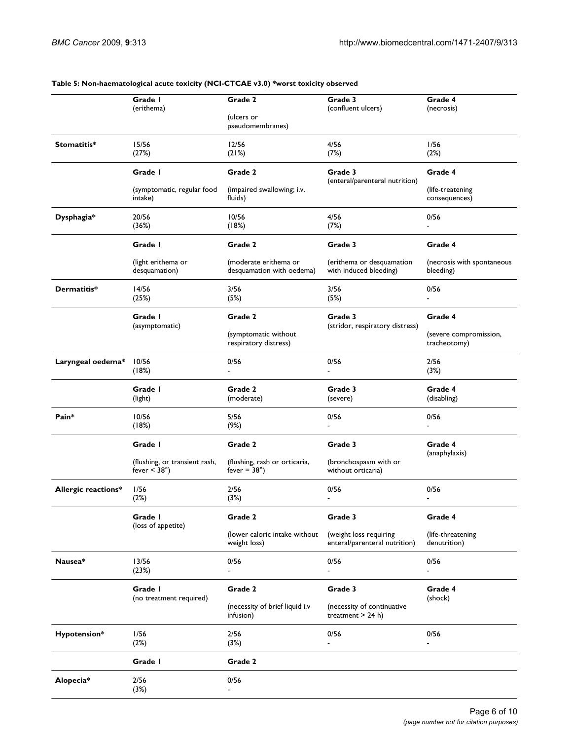#### **Grade 1** (erithema) **Grade 2** (ulcers or pseudomembranes) **Grade 3** (confluent ulcers) **Grade 4** (necrosis) **Stomatitis\*** 15/56 (27%) 12/56 (21%) 4/56 (7%) 1/56 (2%) **Grade 1** (symptomatic, regular food intake) **Grade 2** (impaired swallowing; i.v. fluids) **Grade 3** (enteral/parenteral nutrition) **Grade 4** (life-treatening consequences) **Dysphagia\*** 20/56 (36%) 10/56 (18%) 4/56 (7%) 0/56 - **Grade 1** (light erithema or desquamation) **Grade 2** (moderate erithema or desquamation with oedema) **Grade 3** (erithema or desquamation with induced bleeding) **Grade 4** (necrosis with spontaneous bleeding) **Dermatitis\*** 14/56 (25%) 3/56 (5%) 3/56 (5%) 0/56 - **Grade 1** (asymptomatic) **Grade 2** (symptomatic without respiratory distress) **Grade 3** (stridor, respiratory distress) **Grade 4** (severe compromission, tracheotomy) **Laryngeal oedema\*** 10/56 (18%) 0/56 - 0/56 - 2/56 (3%) **Grade 1** (light) **Grade 2** (moderate) **Grade 3** (severe) **Grade 4** (disabling) **Pain\*** 10/56 (18%) 5/56 (9%) 0/56 - 0/56 - **Grade 1** (flushing, or transient rash, fever  $<$  38 $^{\circ}$ ) **Grade 2** (flushing, rash or orticaria, fever =  $38^\circ$ ) **Grade 3** (bronchospasm with or without orticaria) **Grade 4** (anaphylaxis) **Allergic reactions\*** 1/56 (2%) 2/56 (3%) 0/56 - 0/56 - **Grade 1** (loss of appetite) **Grade 2** (lower caloric intake without weight loss) **Grade 3** (weight loss requiring enteral/parenteral nutrition) **Grade 4** (life-threatening denutrition) **Nausea\*** 13/56 (23%) 0/56 - 0/56 - 0/56 - **Grade 1** (no treatment required) **Grade 2** (necessity of brief liquid i.v infusion) **Grade 3** (necessity of continuative treatment  $> 24$  h) **Grade 4** (shock) **Hypotension\*** 1/56 (2%) 2/56 (3%) 0/56 - 0/56 - **Grade 1 Grade 2 Alopecia\*** 2/56 (3%) 0/56 -

#### **Table 5: Non-haematological acute toxicity (NCI-CTCAE v3.0) \*worst toxicity observed**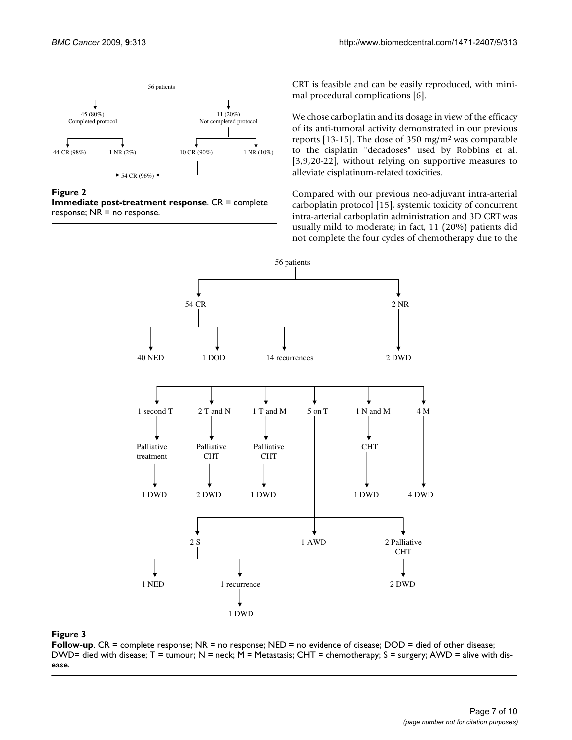

**Figure 2** 

**Immediate post-treatment response**. CR = complete response; NR = no response.

CRT is feasible and can be easily reproduced, with minimal procedural complications [6].

We chose carboplatin and its dosage in view of the efficacy of its anti-tumoral activity demonstrated in our previous reports [13-15]. The dose of 350 mg/m<sup>2</sup> was comparable to the cisplatin "decadoses" used by Robbins et al. [3,9,20-22], without relying on supportive measures to alleviate cisplatinum-related toxicities.

Compared with our previous neo-adjuvant intra-arterial carboplatin protocol [15], systemic toxicity of concurrent intra-arterial carboplatin administration and 3D CRT was usually mild to moderate; in fact, 11 (20%) patients did not complete the four cycles of chemotherapy due to the



#### **Figure 3**

**Follow-up**. CR = complete response; NR = no response; NED = no evidence of disease; DOD = died of other disease; DWD= died with disease; T = tumour; N = neck; M = Metastasis; CHT = chemotherapy; S = surgery; AWD = alive with disease.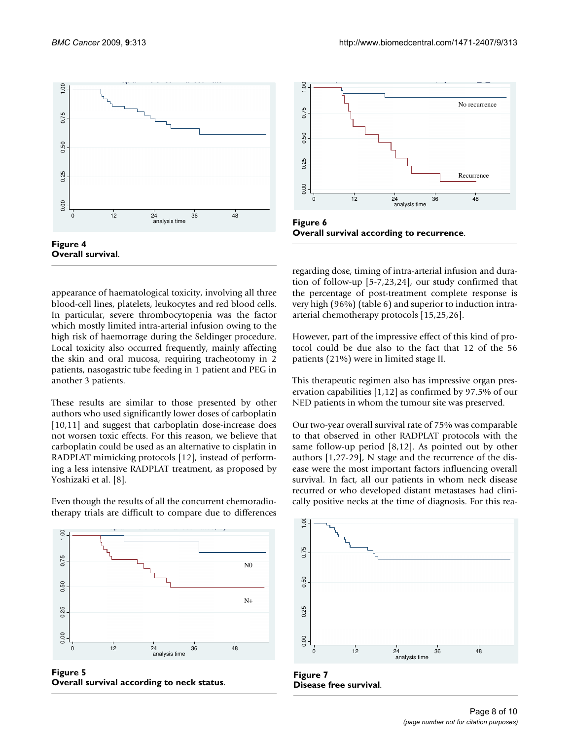

Figure 4<br>**Overall survival** 

appearance of haematological toxicity, involving all three blood-cell lines, platelets, leukocytes and red blood cells. In particular, severe thrombocytopenia was the factor which mostly limited intra-arterial infusion owing to the high risk of haemorrage during the Seldinger procedure. Local toxicity also occurred frequently, mainly affecting the skin and oral mucosa, requiring tracheotomy in 2 patients, nasogastric tube feeding in 1 patient and PEG in another 3 patients.

These results are similar to those presented by other authors who used significantly lower doses of carboplatin [10,11] and suggest that carboplatin dose-increase does not worsen toxic effects. For this reason, we believe that carboplatin could be used as an alternative to cisplatin in RADPLAT mimicking protocols [12], instead of performing a less intensive RADPLAT treatment, as proposed by Yoshizaki et al. [8].

Even though the results of all the concurrent chemoradiotherapy trials are difficult to compare due to differences



**Figure 5 Overall survival according to neck status**.



**Figure 6** 

regarding dose, timing of intra-arterial infusion and duration of follow-up [5-7,23,24], our study confirmed that the percentage of post-treatment complete response is very high (96%) (table 6) and superior to induction intraarterial chemotherapy protocols [15,25,26].

However, part of the impressive effect of this kind of protocol could be due also to the fact that 12 of the 56 patients (21%) were in limited stage II.

This therapeutic regimen also has impressive organ preservation capabilities [1,12] as confirmed by 97.5% of our NED patients in whom the tumour site was preserved.

Our two-year overall survival rate of 75% was comparable to that observed in other RADPLAT protocols with the same follow-up period [8,12]. As pointed out by other authors [1,27-29], N stage and the recurrence of the disease were the most important factors influencing overall survival. In fact, all our patients in whom neck disease recurred or who developed distant metastases had clinically positive necks at the time of diagnosis. For this rea-



**Figure 7**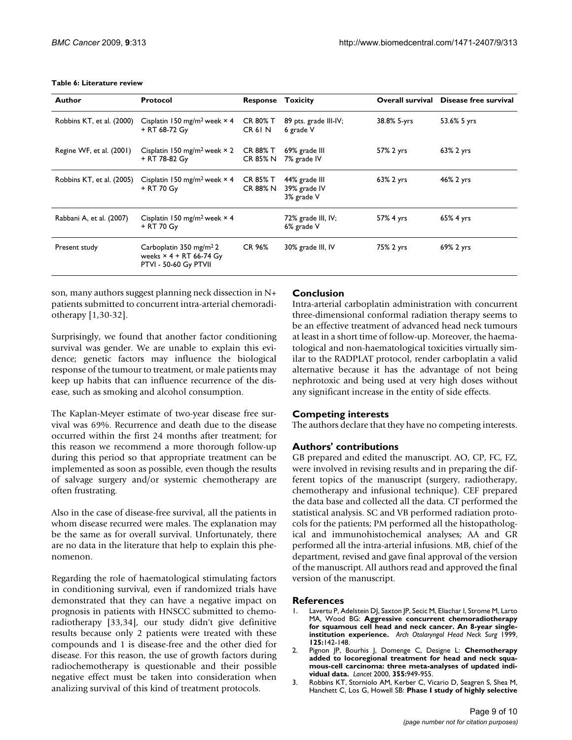|  |  | Table 6: Literature review |  |
|--|--|----------------------------|--|
|--|--|----------------------------|--|

| Author                    | Protocol                                                                                      | Response                              | Toxicity                                    |             | <b>Overall survival</b> Disease free survival |
|---------------------------|-----------------------------------------------------------------------------------------------|---------------------------------------|---------------------------------------------|-------------|-----------------------------------------------|
| Robbins KT, et al. (2000) | Cisplatin 150 mg/m <sup>2</sup> week $\times$ 4<br>+ RT 68-72 Gy                              | <b>CR 80% T</b><br>CR <sub>6</sub> IN | 89 pts. grade III-IV;<br>6 grade V          | 38.8% 5-yrs | 53.6% 5 yrs                                   |
| Regine WF, et al. (2001)  | Cisplatin 150 mg/m <sup>2</sup> week $\times$ 2<br>+ RT 78-82 Gy                              | CR 88% T<br>CR 85% N                  | 69% grade III<br>7% grade IV                | 57% 2 yrs   | 63% 2 yrs                                     |
| Robbins KT, et al. (2005) | Cisplatin 150 mg/m <sup>2</sup> week $\times$ 4<br>+ RT 70 Gy                                 | CR 85% T<br>CR 88% N                  | 44% grade III<br>39% grade IV<br>3% grade V | 63% 2 yrs   | 46% 2 yrs                                     |
| Rabbani A, et al. (2007)  | Cisplatin 150 mg/m <sup>2</sup> week $\times$ 4<br>+ RT 70 Gy                                 |                                       | $72\%$ grade III, IV;<br>6% grade V         | 57% 4 yrs   | 65% 4 yrs                                     |
| Present study             | Carboplatin $350 \text{ mg/m}^2$ 2<br>weeks $\times$ 4 + RT 66-74 Gy<br>PTVI - 50-60 Gy PTVII | CR 96%                                | 30% grade III, IV                           | 75% 2 yrs   | 69% 2 yrs                                     |

son, many authors suggest planning neck dissection in N+ patients submitted to concurrent intra-arterial chemoradiotherapy [1,30-32].

Surprisingly, we found that another factor conditioning survival was gender. We are unable to explain this evidence; genetic factors may influence the biological response of the tumour to treatment, or male patients may keep up habits that can influence recurrence of the disease, such as smoking and alcohol consumption.

The Kaplan-Meyer estimate of two-year disease free survival was 69%. Recurrence and death due to the disease occurred within the first 24 months after treatment; for this reason we recommend a more thorough follow-up during this period so that appropriate treatment can be implemented as soon as possible, even though the results of salvage surgery and/or systemic chemotherapy are often frustrating.

Also in the case of disease-free survival, all the patients in whom disease recurred were males. The explanation may be the same as for overall survival. Unfortunately, there are no data in the literature that help to explain this phenomenon.

Regarding the role of haematological stimulating factors in conditioning survival, even if randomized trials have demonstrated that they can have a negative impact on prognosis in patients with HNSCC submitted to chemoradiotherapy [33,34], our study didn't give definitive results because only 2 patients were treated with these compounds and 1 is disease-free and the other died for disease. For this reason, the use of growth factors during radiochemotherapy is questionable and their possible negative effect must be taken into consideration when analizing survival of this kind of treatment protocols.

#### **Conclusion**

Intra-arterial carboplatin administration with concurrent three-dimensional conformal radiation therapy seems to be an effective treatment of advanced head neck tumours at least in a short time of follow-up. Moreover, the haematological and non-haematological toxicities virtually similar to the RADPLAT protocol, render carboplatin a valid alternative because it has the advantage of not being nephrotoxic and being used at very high doses without any significant increase in the entity of side effects.

## **Competing interests**

The authors declare that they have no competing interests.

#### **Authors' contributions**

GB prepared and edited the manuscript. AO, CP, FC, FZ, were involved in revising results and in preparing the different topics of the manuscript (surgery, radiotherapy, chemotherapy and infusional technique). CEF prepared the data base and collected all the data. CT performed the statistical analysis. SC and VB performed radiation protocols for the patients; PM performed all the histopathological and immunohistochemical analyses; AA and GR performed all the intra-arterial infusions. MB, chief of the department, revised and gave final approval of the version of the manuscript. All authors read and approved the final version of the manuscript.

#### **References**

- 1. Lavertu P, Adelstein DJ, Saxton JP, Secic M, Eliachar I, Strome M, Larto MA, Wood BG: **[Aggressive concurrent chemoradiotherapy](http://www.ncbi.nlm.nih.gov/entrez/query.fcgi?cmd=Retrieve&db=PubMed&dopt=Abstract&list_uids=10037279) [for squamous cell head and neck cancer. An 8-year single](http://www.ncbi.nlm.nih.gov/entrez/query.fcgi?cmd=Retrieve&db=PubMed&dopt=Abstract&list_uids=10037279)[institution experience.](http://www.ncbi.nlm.nih.gov/entrez/query.fcgi?cmd=Retrieve&db=PubMed&dopt=Abstract&list_uids=10037279)** *Arch Otolaryngol Head Neck Surg* 1999, **125:**142-148.
- 2. Pignon JP, Bourhis J, Domenge C, Designe L: **[Chemotherapy](http://www.ncbi.nlm.nih.gov/entrez/query.fcgi?cmd=Retrieve&db=PubMed&dopt=Abstract&list_uids=10768432) [added to locoregional treatment for head and neck squa](http://www.ncbi.nlm.nih.gov/entrez/query.fcgi?cmd=Retrieve&db=PubMed&dopt=Abstract&list_uids=10768432)mous-cell carcinoma: three meta-analyses of updated indi[vidual data.](http://www.ncbi.nlm.nih.gov/entrez/query.fcgi?cmd=Retrieve&db=PubMed&dopt=Abstract&list_uids=10768432)** *Lancet* 2000, **355:**949-955.
- 3. Robbins KT, Storniolo AM, Kerber C, Vicario D, Seagren S, Shea M, Hanchett C, Los G, Howell SB: **[Phase I study of highly selective](http://www.ncbi.nlm.nih.gov/entrez/query.fcgi?cmd=Retrieve&db=PubMed&dopt=Abstract&list_uids=7931481)**